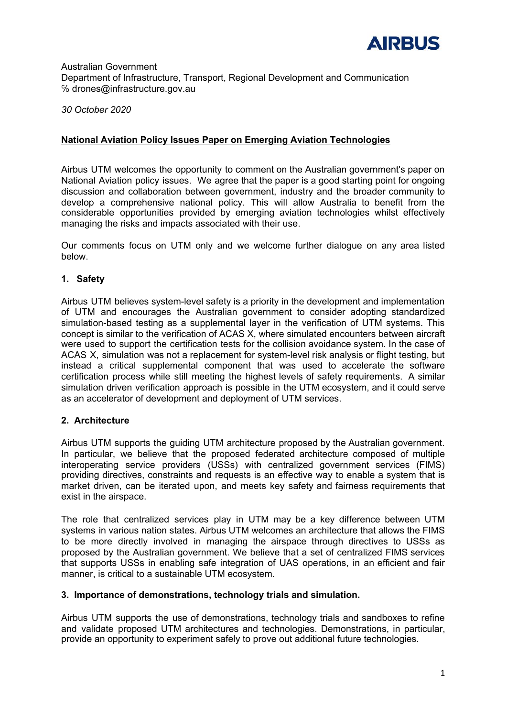

Australian Government Department of Infrastructure, Transport, Regional Development and Communication ℅ [drones@infrastructure.gov.au](mailto:drones@infrastructure.gov.au)

*30 October 2020*

# **National Aviation Policy Issues Paper on Emerging Aviation Technologies**

Airbus UTM welcomes the opportunity to comment on the Australian government's paper on National Aviation policy issues. We agree that the paper is a good starting point for ongoing discussion and collaboration between government, industry and the broader community to develop a comprehensive national policy. This will allow Australia to benefit from the considerable opportunities provided by emerging aviation technologies whilst effectively managing the risks and impacts associated with their use.

Our comments focus on UTM only and we welcome further dialogue on any area listed below.

## **1. Safety**

Airbus UTM believes system-level safety is a priority in the development and implementation of UTM and encourages the Australian government to consider adopting standardized simulation-based testing as a supplemental layer in the verification of UTM systems. This concept is similar to the verification of ACAS X, where simulated encounters between aircraft were used to support the certification tests for the collision avoidance system. In the case of ACAS X, simulation was not a replacement for system-level risk analysis or flight testing, but instead a critical supplemental component that was used to accelerate the software certification process while still meeting the highest levels of safety requirements. A similar simulation driven verification approach is possible in the UTM ecosystem, and it could serve as an accelerator of development and deployment of UTM services.

## **2. Architecture**

Airbus UTM supports the guiding UTM architecture proposed by the Australian government. In particular, we believe that the proposed federated architecture composed of multiple interoperating service providers (USSs) with centralized government services (FIMS) providing directives, constraints and requests is an effective way to enable a system that is market driven, can be iterated upon, and meets key safety and fairness requirements that exist in the airspace.

The role that centralized services play in UTM may be a key difference between UTM systems in various nation states. Airbus UTM welcomes an architecture that allows the FIMS to be more directly involved in managing the airspace through directives to USSs as proposed by the Australian government. We believe that a set of centralized FIMS services that supports USSs in enabling safe integration of UAS operations, in an efficient and fair manner, is critical to a sustainable UTM ecosystem.

## **3. Importance of demonstrations, technology trials and simulation.**

Airbus UTM supports the use of demonstrations, technology trials and sandboxes to refine and validate proposed UTM architectures and technologies. Demonstrations, in particular, provide an opportunity to experiment safely to prove out additional future technologies.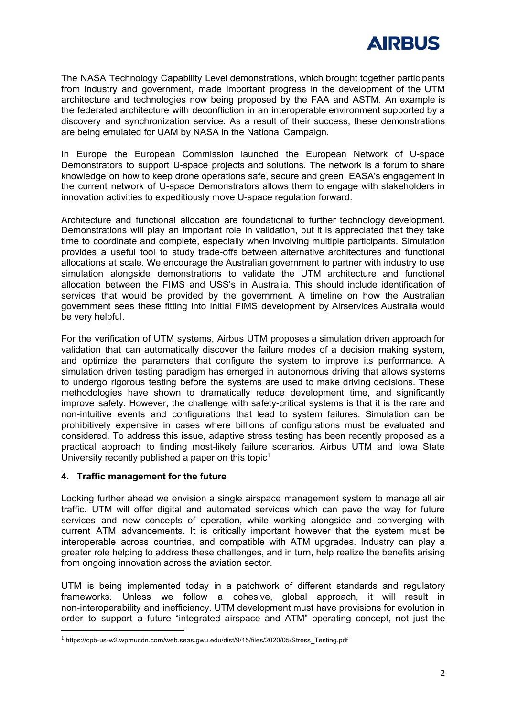

The NASA Technology Capability Level demonstrations, which brought together participants from industry and government, made important progress in the development of the UTM architecture and technologies now being proposed by the FAA and ASTM. An example is the federated architecture with deconfliction in an interoperable environment supported by a discovery and synchronization service. As a result of their success, these demonstrations are being emulated for UAM by NASA in the National Campaign.

In Europe the European Commission launched the European Network of U-space Demonstrators to support U-space projects and solutions. The network is a forum to share knowledge on how to keep drone operations safe, secure and green. EASA's engagement in the current network of U-space Demonstrators allows them to engage with stakeholders in innovation activities to expeditiously move U-space regulation forward.

Architecture and functional allocation are foundational to further technology development. Demonstrations will play an important role in validation, but it is appreciated that they take time to coordinate and complete, especially when involving multiple participants. Simulation provides a useful tool to study trade-offs between alternative architectures and functional allocations at scale. We encourage the Australian government to partner with industry to use simulation alongside demonstrations to validate the UTM architecture and functional allocation between the FIMS and USS's in Australia. This should include identification of services that would be provided by the government. A timeline on how the Australian government sees these fitting into initial FIMS development by Airservices Australia would be very helpful.

For the verification of UTM systems, Airbus UTM proposes a simulation driven approach for validation that can automatically discover the failure modes of a decision making system, and optimize the parameters that configure the system to improve its performance. A simulation driven testing paradigm has emerged in autonomous driving that allows systems to undergo rigorous testing before the systems are used to make driving decisions. These methodologies have shown to dramatically reduce development time, and significantly improve safety. However, the challenge with safety-critical systems is that it is the rare and non-intuitive events and configurations that lead to system failures. Simulation can be prohibitively expensive in cases where billions of configurations must be evaluated and considered. To address this issue, adaptive stress testing has been recently proposed as a practical approach to finding most-likely failure scenarios. Airbus UTM and Iowa State University recently published a paper on this topic<sup>1</sup>

## **4. Traffic management for the future**

Looking further ahead we envision a single airspace management system to manage all air traffic. UTM will offer digital and automated services which can pave the way for future services and new concepts of operation, while working alongside and converging with current ATM advancements. It is critically important however that the system must be interoperable across countries, and compatible with ATM upgrades. Industry can play a greater role helping to address these challenges, and in turn, help realize the benefits arising from ongoing innovation across the aviation sector.

UTM is being implemented today in a patchwork of different standards and regulatory frameworks. Unless we follow a cohesive, global approach, it will result in non-interoperability and inefficiency. UTM development must have provisions for evolution in order to support a future "integrated airspace and ATM" operating concept, not just the

<sup>1</sup> https://cpb-us-w2.wpmucdn.com/web.seas.gwu.edu/dist/9/15/files/2020/05/Stress\_Testing.pdf